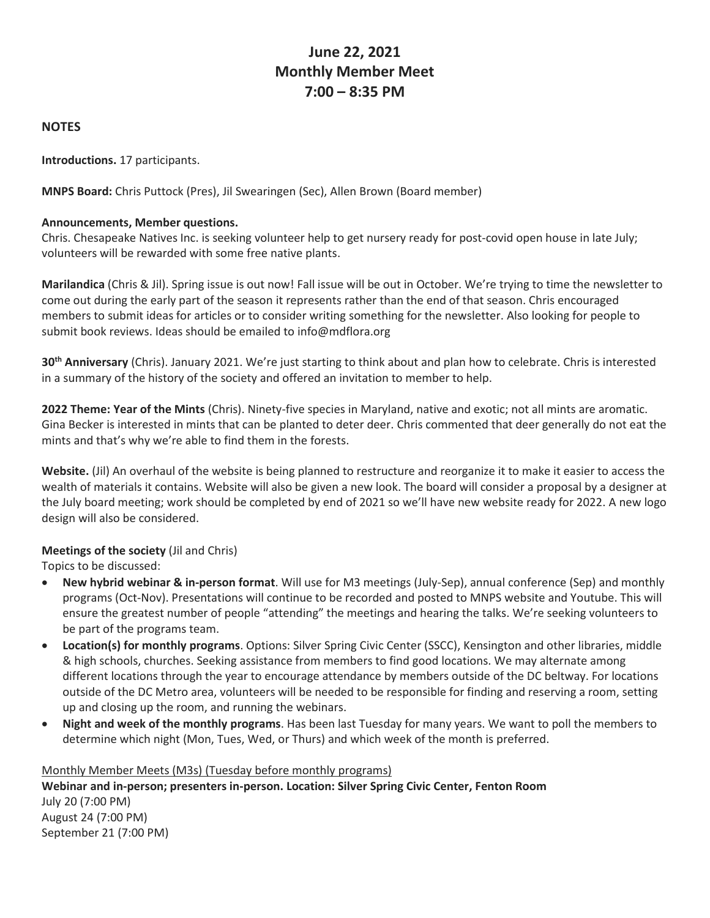# **June 22, 2021 Monthly Member Meet 7:00 – 8:35 PM**

## **NOTES**

**Introductions.** 17 participants.

**MNPS Board:** Chris Puttock (Pres), Jil Swearingen (Sec), Allen Brown (Board member)

### **Announcements, Member questions.**

Chris. Chesapeake Natives Inc. is seeking volunteer help to get nursery ready for post-covid open house in late July; volunteers will be rewarded with some free native plants.

**Marilandica** (Chris & Jil). Spring issue is out now! Fall issue will be out in October. We're trying to time the newsletter to come out during the early part of the season it represents rather than the end of that season. Chris encouraged members to submit ideas for articles or to consider writing something for the newsletter. Also looking for people to submit book reviews. Ideas should be emailed to info@mdflora.org

**30th Anniversary** (Chris). January 2021. We're just starting to think about and plan how to celebrate. Chris is interested in a summary of the history of the society and offered an invitation to member to help.

**2022 Theme: Year of the Mints** (Chris). Ninety-five species in Maryland, native and exotic; not all mints are aromatic. Gina Becker is interested in mints that can be planted to deter deer. Chris commented that deer generally do not eat the mints and that's why we're able to find them in the forests.

**Website.** (Jil) An overhaul of the website is being planned to restructure and reorganize it to make it easier to access the wealth of materials it contains. Website will also be given a new look. The board will consider a proposal by a designer at the July board meeting; work should be completed by end of 2021 so we'll have new website ready for 2022. A new logo design will also be considered.

### **Meetings of the society** (Jil and Chris)

Topics to be discussed:

- **New hybrid webinar & in-person format**. Will use for M3 meetings (July-Sep), annual conference (Sep) and monthly programs (Oct-Nov). Presentations will continue to be recorded and posted to MNPS website and Youtube. This will ensure the greatest number of people "attending" the meetings and hearing the talks. We're seeking volunteers to be part of the programs team.
- **Location(s) for monthly programs**. Options: Silver Spring Civic Center (SSCC), Kensington and other libraries, middle & high schools, churches. Seeking assistance from members to find good locations. We may alternate among different locations through the year to encourage attendance by members outside of the DC beltway. For locations outside of the DC Metro area, volunteers will be needed to be responsible for finding and reserving a room, setting up and closing up the room, and running the webinars.
- **Night and week of the monthly programs**. Has been last Tuesday for many years. We want to poll the members to determine which night (Mon, Tues, Wed, or Thurs) and which week of the month is preferred.

#### Monthly Member Meets (M3s) (Tuesday before monthly programs)

**Webinar and in-person; presenters in-person. Location: Silver Spring Civic Center, Fenton Room** July 20 (7:00 PM) August 24 (7:00 PM) September 21 (7:00 PM)